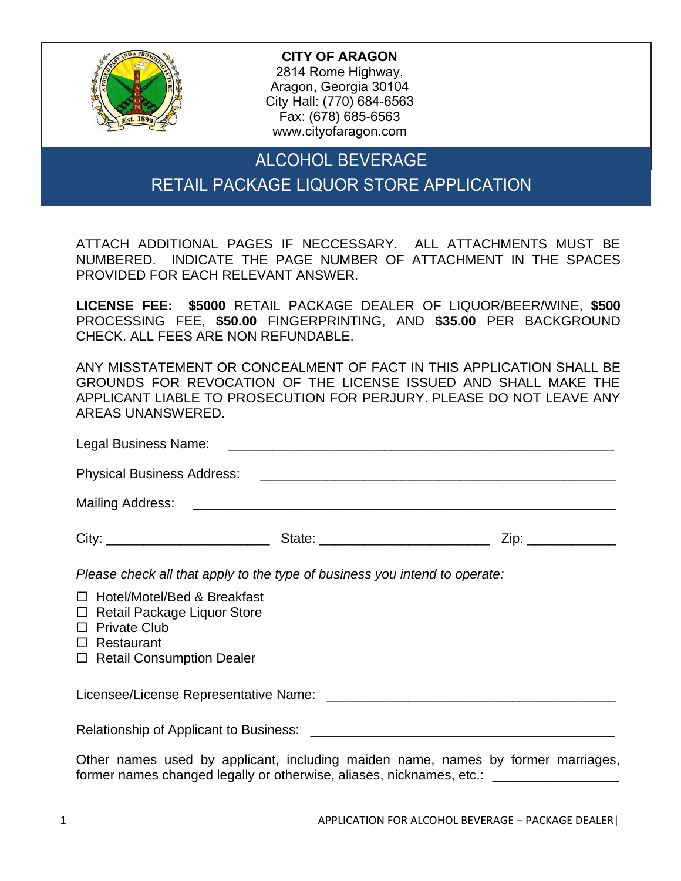

**CITY OF ARAGON** 2814 Rome Highway, Aragon, Georgia 30104 City Hall: (770) 684-6563 Fax: (678) 685-6563 www.cityofaragon.com

## ALCOHOL BEVERAGE RETAIL PACKAGE LIQUOR STORE APPLICATION

ATTACH ADDITIONAL PAGES IF NECCESSARY. ALL ATTACHMENTS MUST BE NUMBERED. INDICATE THE PAGE NUMBER OF ATTACHMENT IN THE SPACES PROVIDED FOR EACH RELEVANT ANSWER.

**LICENSE FEE: \$5000** RETAIL PACKAGE DEALER OF LIQUOR/BEER/WINE, **\$500** PROCESSING FEE, **\$50.00** FINGERPRINTING, AND **\$35.00** PER BACKGROUND CHECK. ALL FEES ARE NON REFUNDABLE.

ANY MISSTATEMENT OR CONCEALMENT OF FACT IN THIS APPLICATION SHALL BE GROUNDS FOR REVOCATION OF THE LICENSE ISSUED AND SHALL MAKE THE APPLICANT LIABLE TO PROSECUTION FOR PERJURY. PLEASE DO NOT LEAVE ANY AREAS UNANSWERED.

| City:                                                                        |                                                                            | Zip: _____________ |
|------------------------------------------------------------------------------|----------------------------------------------------------------------------|--------------------|
|                                                                              | Please check all that apply to the type of business you intend to operate: |                    |
| $\Box$ Hotel/Motel/Bed & Breakfast<br><b>M</b> Detail Dealthan Limited Chang |                                                                            |                    |

- □ Retail Package Liquor Store
- $\Box$  Private Club
- □ Restaurant
- □ Retail Consumption Dealer

Licensee/License Representative Name: \_\_\_\_\_\_\_\_\_\_\_\_\_\_\_\_\_\_\_\_\_\_\_\_\_\_\_\_\_\_\_\_\_\_\_\_\_\_\_

Relationship of Applicant to Business:  $\blacksquare$ 

Other names used by applicant, including maiden name, names by former marriages, former names changed legally or otherwise, aliases, nicknames, etc.: \_\_\_\_\_\_\_\_\_\_\_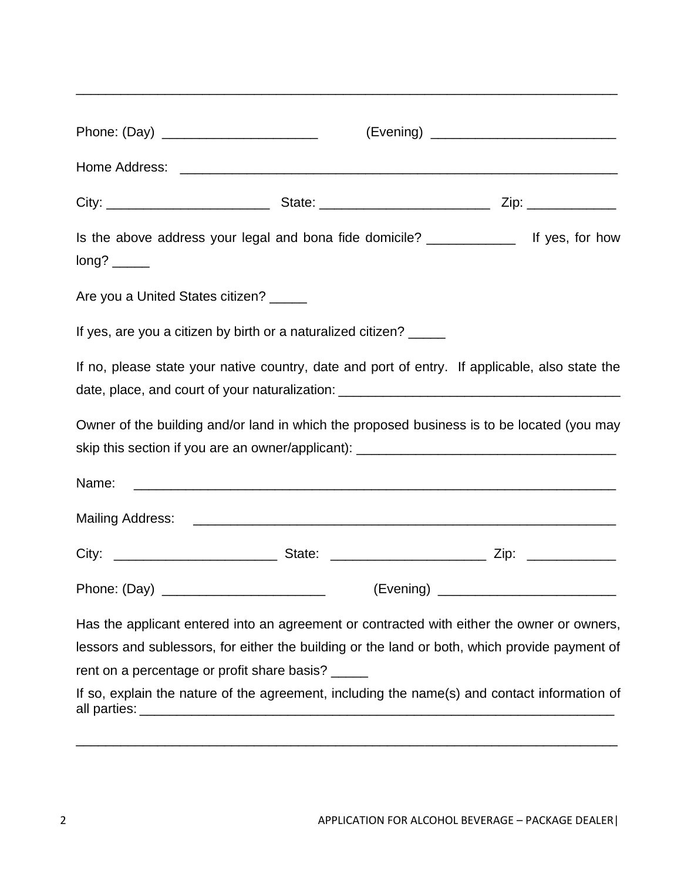| Phone: (Day) _______________________    |                                                                    |                                                                                                |
|-----------------------------------------|--------------------------------------------------------------------|------------------------------------------------------------------------------------------------|
|                                         |                                                                    |                                                                                                |
|                                         |                                                                    |                                                                                                |
|                                         |                                                                    | Is the above address your legal and bona fide domicile? ________________ If yes, for how       |
| Are you a United States citizen? ______ |                                                                    |                                                                                                |
|                                         | If yes, are you a citizen by birth or a naturalized citizen? _____ |                                                                                                |
|                                         |                                                                    | If no, please state your native country, date and port of entry. If applicable, also state the |
|                                         |                                                                    | Owner of the building and/or land in which the proposed business is to be located (you may     |
| Name:                                   |                                                                    |                                                                                                |
|                                         |                                                                    |                                                                                                |
|                                         |                                                                    |                                                                                                |
|                                         |                                                                    |                                                                                                |
|                                         |                                                                    | Has the applicant entered into an agreement or contracted with either the owner or owners,     |
|                                         |                                                                    | lessors and sublessors, for either the building or the land or both, which provide payment of  |
|                                         | rent on a percentage or profit share basis?                        |                                                                                                |
|                                         |                                                                    | If so, explain the nature of the agreement, including the name(s) and contact information of   |

all parties: \_\_\_\_\_\_\_\_\_\_\_\_\_\_\_\_\_\_\_\_\_\_\_\_\_\_\_\_\_\_\_\_\_\_\_\_\_\_\_\_\_\_\_\_\_\_\_\_\_\_\_\_\_\_\_\_\_\_\_\_\_\_\_\_

\_\_\_\_\_\_\_\_\_\_\_\_\_\_\_\_\_\_\_\_\_\_\_\_\_\_\_\_\_\_\_\_\_\_\_\_\_\_\_\_\_\_\_\_\_\_\_\_\_\_\_\_\_\_\_\_\_\_\_\_\_\_\_\_\_\_\_\_\_\_\_\_\_

\_\_\_\_\_\_\_\_\_\_\_\_\_\_\_\_\_\_\_\_\_\_\_\_\_\_\_\_\_\_\_\_\_\_\_\_\_\_\_\_\_\_\_\_\_\_\_\_\_\_\_\_\_\_\_\_\_\_\_\_\_\_\_\_\_\_\_\_\_\_\_\_\_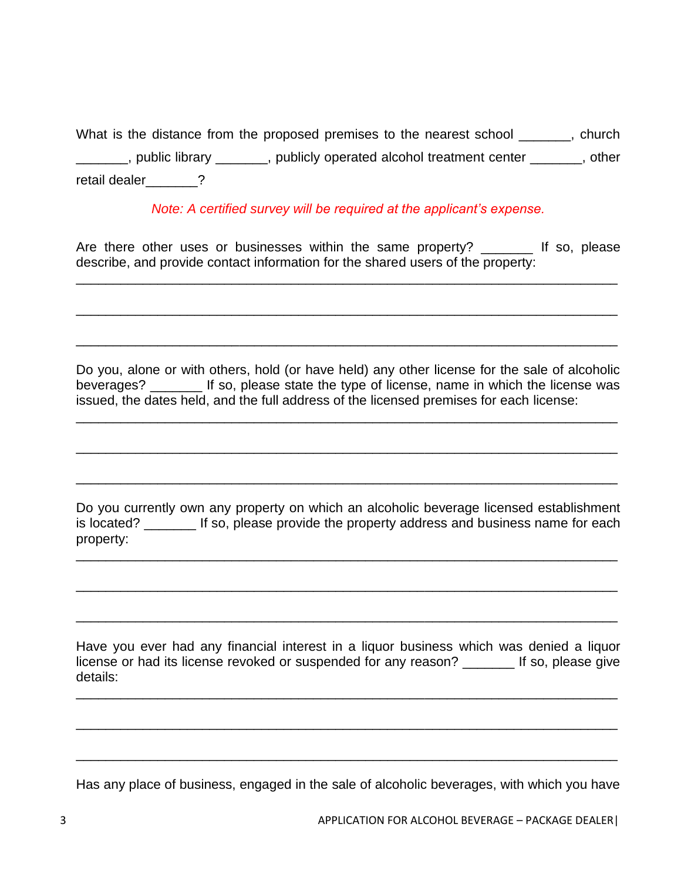What is the distance from the proposed premises to the nearest school \_\_\_\_\_\_, church \_\_\_\_\_\_\_, public library \_\_\_\_\_\_\_, publicly operated alcohol treatment center \_\_\_\_\_\_\_, other retail dealer **2** 

*Note: A certified survey will be required at the applicant's expense.*

Are there other uses or businesses within the same property? \_\_\_\_\_\_\_\_ If so, please describe, and provide contact information for the shared users of the property:

\_\_\_\_\_\_\_\_\_\_\_\_\_\_\_\_\_\_\_\_\_\_\_\_\_\_\_\_\_\_\_\_\_\_\_\_\_\_\_\_\_\_\_\_\_\_\_\_\_\_\_\_\_\_\_\_\_\_\_\_\_\_\_\_\_\_\_\_\_\_\_\_\_

\_\_\_\_\_\_\_\_\_\_\_\_\_\_\_\_\_\_\_\_\_\_\_\_\_\_\_\_\_\_\_\_\_\_\_\_\_\_\_\_\_\_\_\_\_\_\_\_\_\_\_\_\_\_\_\_\_\_\_\_\_\_\_\_\_\_\_\_\_\_\_\_\_

\_\_\_\_\_\_\_\_\_\_\_\_\_\_\_\_\_\_\_\_\_\_\_\_\_\_\_\_\_\_\_\_\_\_\_\_\_\_\_\_\_\_\_\_\_\_\_\_\_\_\_\_\_\_\_\_\_\_\_\_\_\_\_\_\_\_\_\_\_\_\_\_\_

Do you, alone or with others, hold (or have held) any other license for the sale of alcoholic beverages? \_\_\_\_\_\_\_ If so, please state the type of license, name in which the license was issued, the dates held, and the full address of the licensed premises for each license:

\_\_\_\_\_\_\_\_\_\_\_\_\_\_\_\_\_\_\_\_\_\_\_\_\_\_\_\_\_\_\_\_\_\_\_\_\_\_\_\_\_\_\_\_\_\_\_\_\_\_\_\_\_\_\_\_\_\_\_\_\_\_\_\_\_\_\_\_\_\_\_\_\_

\_\_\_\_\_\_\_\_\_\_\_\_\_\_\_\_\_\_\_\_\_\_\_\_\_\_\_\_\_\_\_\_\_\_\_\_\_\_\_\_\_\_\_\_\_\_\_\_\_\_\_\_\_\_\_\_\_\_\_\_\_\_\_\_\_\_\_\_\_\_\_\_\_

\_\_\_\_\_\_\_\_\_\_\_\_\_\_\_\_\_\_\_\_\_\_\_\_\_\_\_\_\_\_\_\_\_\_\_\_\_\_\_\_\_\_\_\_\_\_\_\_\_\_\_\_\_\_\_\_\_\_\_\_\_\_\_\_\_\_\_\_\_\_\_\_\_

Do you currently own any property on which an alcoholic beverage licensed establishment is located? \_\_\_\_\_\_\_ If so, please provide the property address and business name for each property:

\_\_\_\_\_\_\_\_\_\_\_\_\_\_\_\_\_\_\_\_\_\_\_\_\_\_\_\_\_\_\_\_\_\_\_\_\_\_\_\_\_\_\_\_\_\_\_\_\_\_\_\_\_\_\_\_\_\_\_\_\_\_\_\_\_\_\_\_\_\_\_\_\_

\_\_\_\_\_\_\_\_\_\_\_\_\_\_\_\_\_\_\_\_\_\_\_\_\_\_\_\_\_\_\_\_\_\_\_\_\_\_\_\_\_\_\_\_\_\_\_\_\_\_\_\_\_\_\_\_\_\_\_\_\_\_\_\_\_\_\_\_\_\_\_\_\_

\_\_\_\_\_\_\_\_\_\_\_\_\_\_\_\_\_\_\_\_\_\_\_\_\_\_\_\_\_\_\_\_\_\_\_\_\_\_\_\_\_\_\_\_\_\_\_\_\_\_\_\_\_\_\_\_\_\_\_\_\_\_\_\_\_\_\_\_\_\_\_\_\_

Have you ever had any financial interest in a liquor business which was denied a liquor license or had its license revoked or suspended for any reason? If so, please give details:

\_\_\_\_\_\_\_\_\_\_\_\_\_\_\_\_\_\_\_\_\_\_\_\_\_\_\_\_\_\_\_\_\_\_\_\_\_\_\_\_\_\_\_\_\_\_\_\_\_\_\_\_\_\_\_\_\_\_\_\_\_\_\_\_\_\_\_\_\_\_\_\_\_

\_\_\_\_\_\_\_\_\_\_\_\_\_\_\_\_\_\_\_\_\_\_\_\_\_\_\_\_\_\_\_\_\_\_\_\_\_\_\_\_\_\_\_\_\_\_\_\_\_\_\_\_\_\_\_\_\_\_\_\_\_\_\_\_\_\_\_\_\_\_\_\_\_

\_\_\_\_\_\_\_\_\_\_\_\_\_\_\_\_\_\_\_\_\_\_\_\_\_\_\_\_\_\_\_\_\_\_\_\_\_\_\_\_\_\_\_\_\_\_\_\_\_\_\_\_\_\_\_\_\_\_\_\_\_\_\_\_\_\_\_\_\_\_\_\_\_

Has any place of business, engaged in the sale of alcoholic beverages, with which you have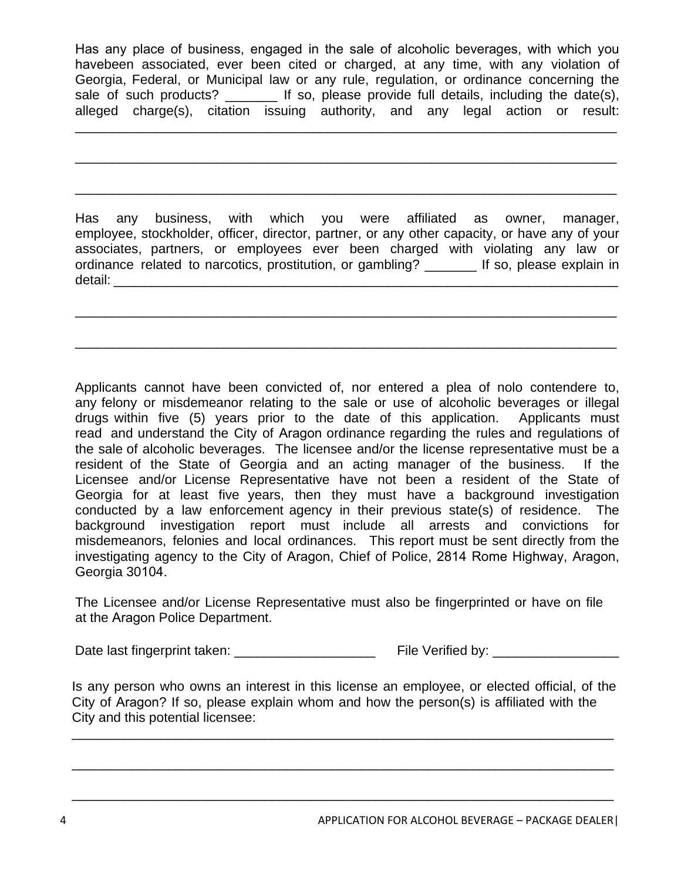Has any place of business, engaged in the sale of alcoholic beverages, with which you havebeen associated, ever been cited or charged, at any time, with any violation of Georgia, Federal, or Municipal law or any rule, regulation, or ordinance concerning the sale of such products? \_\_\_\_\_\_\_\_ If so, please provide full details, including the date(s), alleged charge(s), citation issuing authority, and any legal action or result:

\_\_\_\_\_\_\_\_\_\_\_\_\_\_\_\_\_\_\_\_\_\_\_\_\_\_\_\_\_\_\_\_\_\_\_\_\_\_\_\_\_\_\_\_\_\_\_\_\_\_\_\_\_\_\_\_\_\_\_\_\_\_\_\_\_\_\_\_\_\_\_\_\_

\_\_\_\_\_\_\_\_\_\_\_\_\_\_\_\_\_\_\_\_\_\_\_\_\_\_\_\_\_\_\_\_\_\_\_\_\_\_\_\_\_\_\_\_\_\_\_\_\_\_\_\_\_\_\_\_\_\_\_\_\_\_\_\_\_\_\_\_\_\_\_\_\_

\_\_\_\_\_\_\_\_\_\_\_\_\_\_\_\_\_\_\_\_\_\_\_\_\_\_\_\_\_\_\_\_\_\_\_\_\_\_\_\_\_\_\_\_\_\_\_\_\_\_\_\_\_\_\_\_\_\_\_\_\_\_\_\_\_\_\_\_\_\_\_\_\_

Has any business, with which you were affiliated as owner, manager, employee, stockholder, officer, director, partner, or any other capacity, or have any of your associates, partners, or employees ever been charged with violating any law or ordinance related to narcotics, prostitution, or gambling? \_\_\_\_\_\_\_ If so, please explain in detail: **with a set of the set of the set of the set of the set of the set of the set of the set of the set of the set of the set of the set of the set of the set of the set of the set of the set of the set of the set of t** 

\_\_\_\_\_\_\_\_\_\_\_\_\_\_\_\_\_\_\_\_\_\_\_\_\_\_\_\_\_\_\_\_\_\_\_\_\_\_\_\_\_\_\_\_\_\_\_\_\_\_\_\_\_\_\_\_\_\_\_\_\_\_\_\_\_\_\_\_\_\_\_\_\_

\_\_\_\_\_\_\_\_\_\_\_\_\_\_\_\_\_\_\_\_\_\_\_\_\_\_\_\_\_\_\_\_\_\_\_\_\_\_\_\_\_\_\_\_\_\_\_\_\_\_\_\_\_\_\_\_\_\_\_\_\_\_\_\_\_\_\_\_\_\_\_\_\_

Applicants cannot have been convicted of, nor entered a plea of nolo contendere to, any felony or misdemeanor relating to the sale or use of alcoholic beverages or illegal drugs within five (5) years prior to the date of this application. Applicants must read and understand the City of Aragon ordinance regarding the rules and regulations of the sale of alcoholic beverages. The licensee and/or the license representative must be a resident of the State of Georgia and an acting manager of the business. If the Licensee and/or License Representative have not been a resident of the State of Georgia for at least five years, then they must have a background investigation conducted by a law enforcement agency in their previous state(s) of residence. The background investigation report must include all arrests and convictions for misdemeanors, felonies and local ordinances. This report must be sent directly from the investigating agency to the City of Aragon, Chief of Police, 2814 Rome Highway, Aragon, Georgia 30104.

The Licensee and/or License Representative must also be fingerprinted or have on file at the Aragon Police Department.

Date last fingerprint taken: \_\_\_\_\_\_\_\_\_\_\_\_\_\_\_\_\_\_\_ File Verified by: \_\_\_\_\_\_\_\_\_\_\_\_\_\_\_\_\_

Is any person who owns an interest in this license an employee, or elected official, of the City of Aragon? If so, please explain whom and how the person(s) is affiliated with the City and this potential licensee:

\_\_\_\_\_\_\_\_\_\_\_\_\_\_\_\_\_\_\_\_\_\_\_\_\_\_\_\_\_\_\_\_\_\_\_\_\_\_\_\_\_\_\_\_\_\_\_\_\_\_\_\_\_\_\_\_\_\_\_\_\_\_\_\_\_\_\_\_\_\_\_\_\_

\_\_\_\_\_\_\_\_\_\_\_\_\_\_\_\_\_\_\_\_\_\_\_\_\_\_\_\_\_\_\_\_\_\_\_\_\_\_\_\_\_\_\_\_\_\_\_\_\_\_\_\_\_\_\_\_\_\_\_\_\_\_\_\_\_\_\_\_\_\_\_\_\_

\_\_\_\_\_\_\_\_\_\_\_\_\_\_\_\_\_\_\_\_\_\_\_\_\_\_\_\_\_\_\_\_\_\_\_\_\_\_\_\_\_\_\_\_\_\_\_\_\_\_\_\_\_\_\_\_\_\_\_\_\_\_\_\_\_\_\_\_\_\_\_\_\_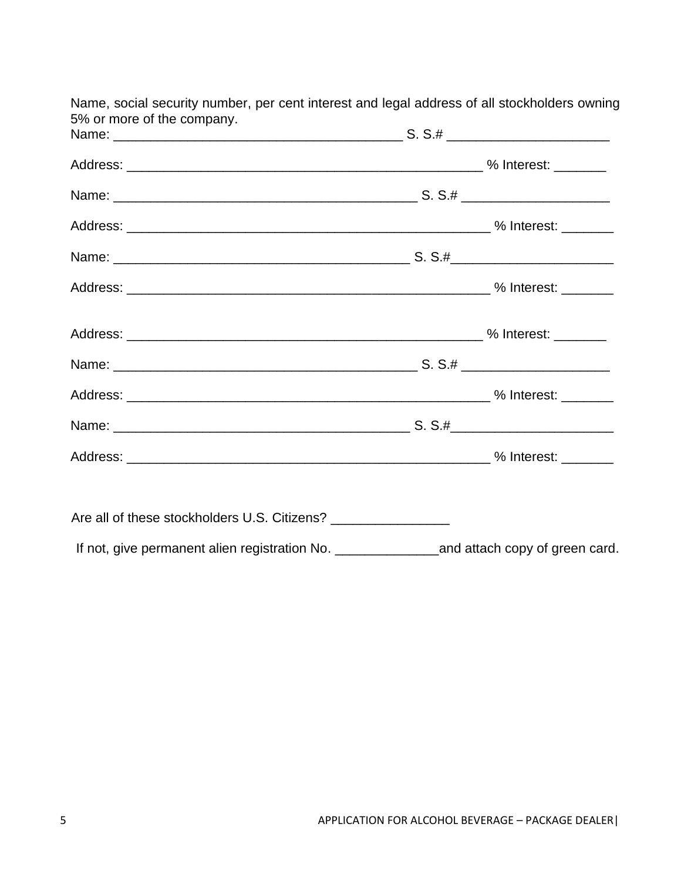| Are all of these stockholders U.S. Citizens? __________________                                  |  |
|--------------------------------------------------------------------------------------------------|--|
| If not, give permanent alien registration No. ____________________and attach copy of green card. |  |

Name, social security number, per cent interest and legal address of all stockholders owning 5% or more of the company.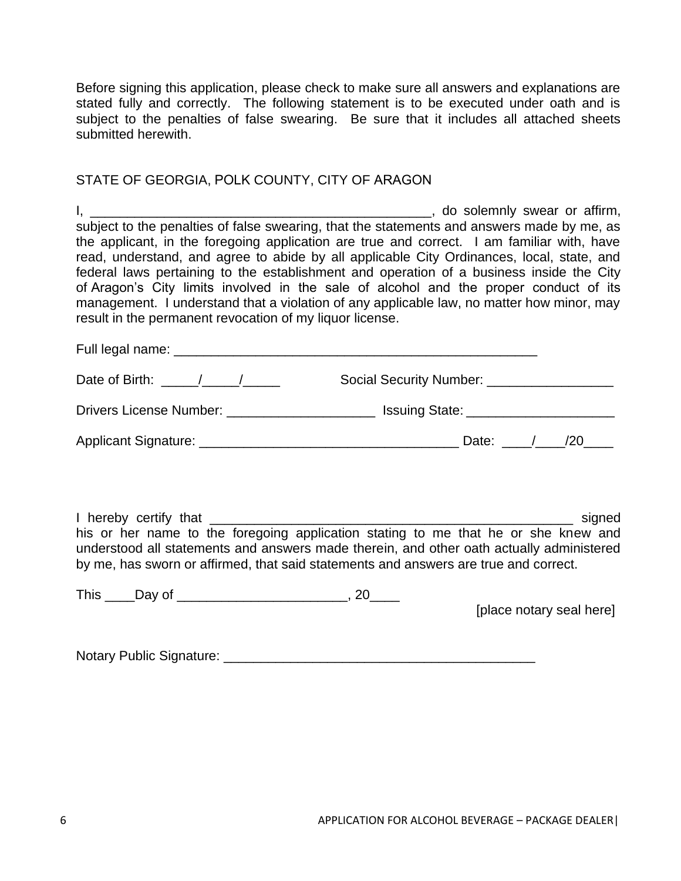Before signing this application, please check to make sure all answers and explanations are stated fully and correctly. The following statement is to be executed under oath and is subject to the penalties of false swearing. Be sure that it includes all attached sheets submitted herewith.

## STATE OF GEORGIA, POLK COUNTY, CITY OF ARAGON

| subject to the penalties of false swearing, that the statements and answers made by me, as<br>the applicant, in the foregoing application are true and correct. I am familiar with, have<br>read, understand, and agree to abide by all applicable City Ordinances, local, state, and<br>federal laws pertaining to the establishment and operation of a business inside the City<br>of Aragon's City limits involved in the sale of alcohol and the proper conduct of its<br>management. I understand that a violation of any applicable law, no matter how minor, may<br>result in the permanent revocation of my liquor license. | do solemnly swear or affirm, |
|-------------------------------------------------------------------------------------------------------------------------------------------------------------------------------------------------------------------------------------------------------------------------------------------------------------------------------------------------------------------------------------------------------------------------------------------------------------------------------------------------------------------------------------------------------------------------------------------------------------------------------------|------------------------------|
|                                                                                                                                                                                                                                                                                                                                                                                                                                                                                                                                                                                                                                     |                              |
|                                                                                                                                                                                                                                                                                                                                                                                                                                                                                                                                                                                                                                     |                              |
| Drivers License Number: _____________________________ Issuing State: ______________________________                                                                                                                                                                                                                                                                                                                                                                                                                                                                                                                                 |                              |
|                                                                                                                                                                                                                                                                                                                                                                                                                                                                                                                                                                                                                                     |                              |
| his or her name to the foregoing application stating to me that he or she knew and<br>understood all statements and answers made therein, and other oath actually administered<br>by me, has sworn or affirmed, that said statements and answers are true and correct.                                                                                                                                                                                                                                                                                                                                                              | signed                       |
| This _____Day of _____________________________, 20_____                                                                                                                                                                                                                                                                                                                                                                                                                                                                                                                                                                             | [place notary seal here]     |

Notary Public Signature: \_\_\_\_\_\_\_\_\_\_\_\_\_\_\_\_\_\_\_\_\_\_\_\_\_\_\_\_\_\_\_\_\_\_\_\_\_\_\_\_\_\_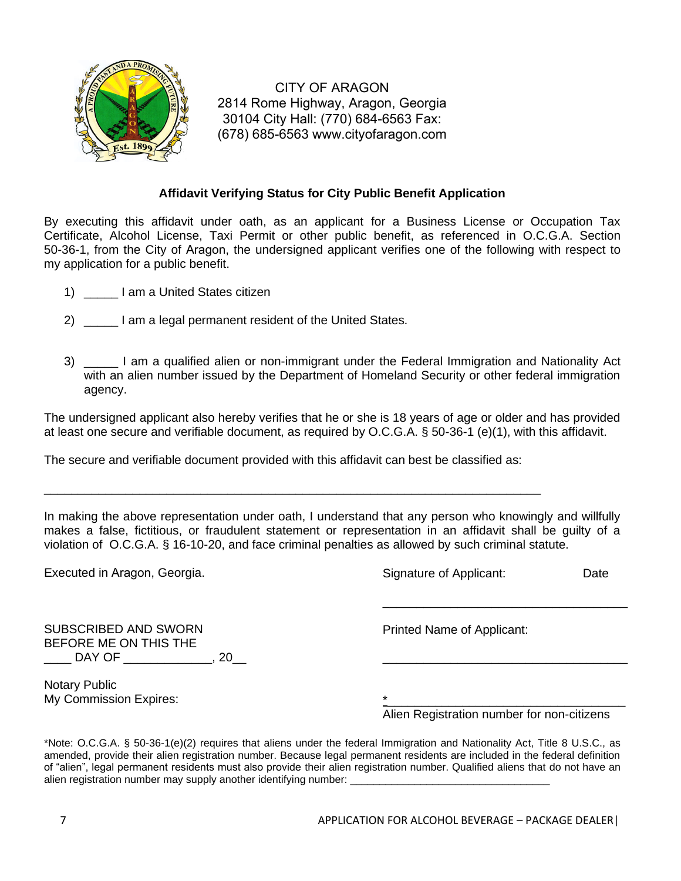

CITY OF ARAGON 2814 Rome Highway, Aragon, Georgia 30104 City Hall: (770) 684-6563 Fax: (678) 685-6563 www.cityofaragon.com

## **Affidavit Verifying Status for City Public Benefit Application**

By executing this affidavit under oath, as an applicant for a Business License or Occupation Tax Certificate, Alcohol License, Taxi Permit or other public benefit, as referenced in O.C.G.A. Section 50-36-1, from the City of Aragon, the undersigned applicant verifies one of the following with respect to my application for a public benefit.

- 1) \_\_\_\_\_ I am a United States citizen
- 2) am a legal permanent resident of the United States.
- 3) \_\_\_\_\_ I am a qualified alien or non-immigrant under the Federal Immigration and Nationality Act with an alien number issued by the Department of Homeland Security or other federal immigration agency.

The undersigned applicant also hereby verifies that he or she is 18 years of age or older and has provided at least one secure and verifiable document, as required by O.C.G.A. § 50-36-1 (e)(1), with this affidavit.

The secure and verifiable document provided with this affidavit can best be classified as:

\_\_\_\_\_\_\_\_\_\_\_\_\_\_\_\_\_\_\_\_\_\_\_\_\_\_\_\_\_\_\_\_\_\_\_\_\_\_\_\_\_\_\_\_\_\_\_\_\_\_\_\_\_\_\_\_\_\_\_\_\_\_\_\_\_\_\_\_\_\_\_\_\_

In making the above representation under oath, I understand that any person who knowingly and willfully makes a false, fictitious, or fraudulent statement or representation in an affidavit shall be guilty of a violation of O.C.G.A. § 16-10-20, and face criminal penalties as allowed by such criminal statute.

| Executed in Aragon, Georgia.                                         | Signature of Applicant:                               | Date |
|----------------------------------------------------------------------|-------------------------------------------------------|------|
| <b>SUBSCRIBED AND SWORN</b><br>BEFORE ME ON THIS THE<br>DAY OF<br>20 | Printed Name of Applicant:                            |      |
| <b>Notary Public</b><br>My Commission Expires:                       | $\star$<br>Alien Registration number for non-citizens |      |

\*Note: O.C.G.A. § 50-36-1(e)(2) requires that aliens under the federal Immigration and Nationality Act, Title 8 U.S.C., as amended, provide their alien registration number. Because legal permanent residents are included in the federal definition of "alien", legal permanent residents must also provide their alien registration number. Qualified aliens that do not have an alien registration number may supply another identifying number: \_\_\_\_\_\_\_\_\_\_\_\_\_\_\_